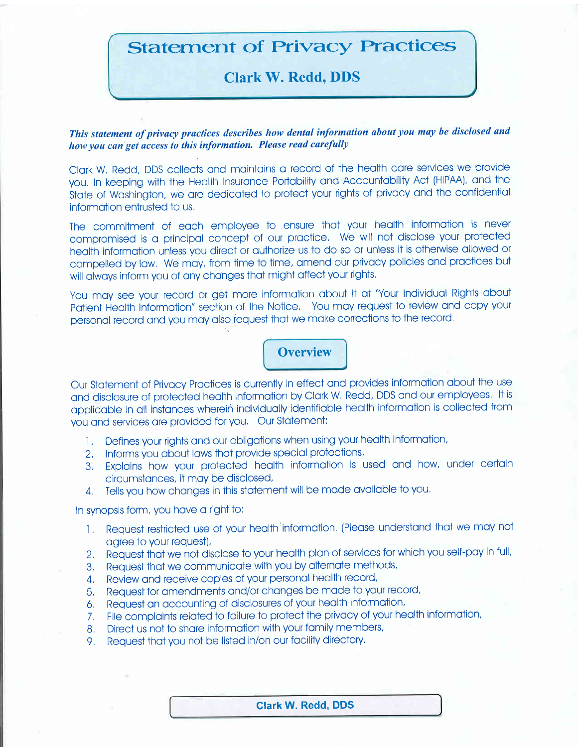# **Statement of Privacy Practices**

# **Clark W. Redd, DDS**

This statement of privacy practices describes how dental information about you may be disclosed and how you can get access to this information. Please read carefully

Clark W. Redd, DDS collects and maintains a record of the health care services we provide you. In keeping with the Health Insurance Portability and Accountability Act (HIPAA), and the State of Washington, we are dedicated to protect your rights of privacy and the confidential information entrusted to us.

The commitment of each employee to ensure that your health information is never compromised is a principal concept of our practice. We will not disclose your protected health information unless you direct or authorize us to do so or unless it is otherwise allowed or compelled by law. We may, from time to time, amend our privacy policies and practices but will always inform you of any changes that might affect your rights.

You may see your record or get more information about it at "Your Individual Rights about Patient Health Information" section of the Notice. You may request to review and copy your personal record and you may also request that we make corrections to the record.

# **Overview**

Our Statement of Privacy Practices is currently in effect and provides information about the use and disclosure of protected health information by Clark W. Redd, DDS and our employees. It is applicable in all instances wherein individually identifiable health information is collected from you and services are provided for you. Our Statement:

- Defines your rights and our obligations when using your health Information,  $1.$
- 2. Informs you about laws that provide special protections,
- 3. Explains how your protected health information is used and how, under certain circumstances, it may be disclosed,
- 4. Tells you how changes in this statement will be made available to you.

#### In synopsis form, you have a right to:

- 1. Request restricted use of your health information. (Please understand that we may not agree to your request),
- 2. Request that we not disclose to your health plan of services for which you self-pay in full,
- 3. Request that we communicate with you by alternate methods,
- 4. Review and receive copies of your personal health record,
- 5. Request for amendments and/or changes be made to your record,
- 6. Request an accounting of disclosures of your health information,
- 7. File complaints related to failure to protect the privacy of your health information,
- 8. Direct us not to share information with your family members,
- 9. Request that you not be listed in/on our facility directory.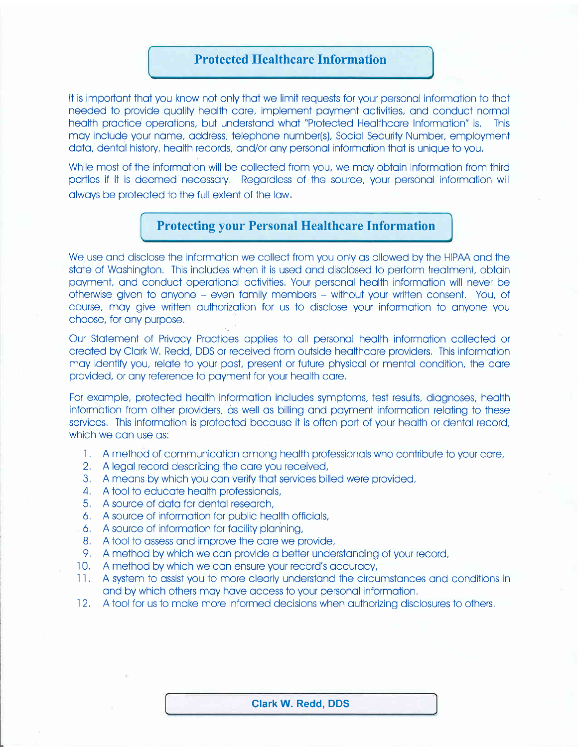#### Protected Healthcare Information

It is important that you know not only that we limit requests for your personal information to that needed to provide quolity heolth core, implement poyment octivities, ond conduct normol heolth proctice operotions, but understond whot "Protected Heolthcore Informotion" is, This may include your name, address, telephone number(s), Social Security Number, employment data, dental history, health records, and/or any personal information that is unique to you,

While most of the information will be collected from you, we may obtain information from third parties if it is deemed necessary. Regardless of the source, your personal information will olwoys be protected to the full extent of the low,

### Protecting your Personal Healthcare Information

We use and disclose the information we collect from you only as allowed by the HIPAA and the state of Washington. This includes when it is used and disclosed to perform treatment, obtain poyment, ond conduct operotionol octivities, Your personol heolth informotion will never be otherwise given to onyone - even fomily members - without your written consent, You, of course, may give written authorization for us to disclose your information to anyone you choose, for onv purpose,

Our Stotement of Privocy Proctices opplies to oll personol heolth informotion collected or creoted bv Clork W, Redd, DDS or received from outside heolthcore providers, This informotion moy identify you, relote to your post, present or future physicol or mentol condition, the core provided, or ony reference to poyment for your heolth core,

For example, protected health information includes symptoms, test results, diagnoses, health information from other providers, as well as billing and payment information relating to these services. This information is protected because it is often part of your health or dental record, which we can use as:

- 1. A method of communication among health professionals who contribute to your care,
- 2, A legol record describing the core you received,
- 3 A meons by which you con verify thot services billed were provided,
- 4, A tool to educote heolth professionols,
- 5, A source of doto for dentol reseorch,
- 6, A source of informotion for public heolth officiols,
- A source of informotion for focility plonning,
- 8, A tool to ossess ond improve the core we provide,
- Y, A method by which we con provide o better understonding of your record,
- 10, A method by which we con ensure your record's occurocy,
- il, A system to ossist you to more cleorly understond the circumstonces ond condiiions in ond by which others moy hove occess to your personol informotion,
- 12, A tool for us to make more informed decisions when authorizing disclosures to others,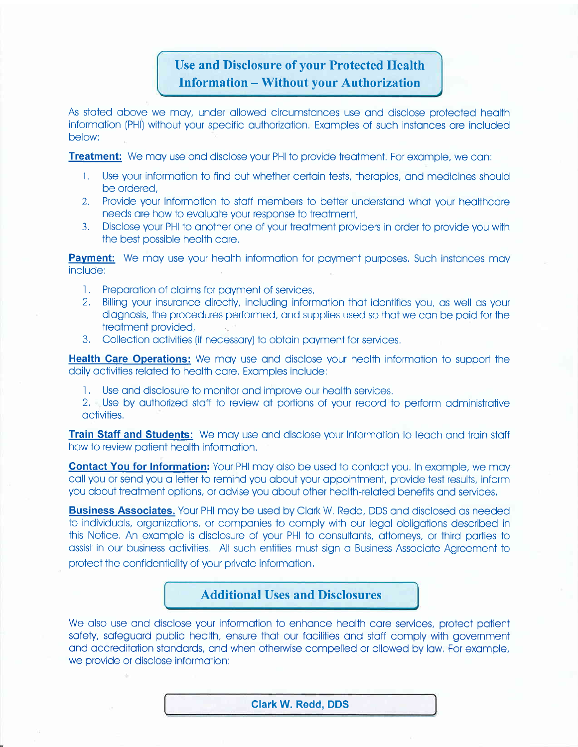# Use and Disclosure of your Protected Health Information - Without vour Authorization

As stoted obove we moy, under ollowed circumstonces use ond disclose protected heolth informotion (PHl) without your specific outhorizotion, Exomples of such instonces ore included below:

**Treatment:** We may use and disclose your PHI to provide treatment. For example, we can:

- 1. Use Vour informotion to find out whether cerloin tests, theropies, ond medicines should be ordered,
- 2. Provide your information to staff members to better understand what your healthcare needs ore how to evoluote your response to treotment,
- 3. Disclose your PHI to onother one of your treotment providers in order to provide you with the best possible health care.

**Payment:** We may use your health information for payment purposes. Such instances may include:

- 
- 1. Preparation of claims for payment of services,<br>2. Billing your insurance directly, including information that identifies you, as well as your diognosis, the procedures performed, ond supplies used so thot we con be poid for the treotment provided,
- 3. Collection activities (if necessary) to obtain payment for services,

**Health Care Operations:** We may use and disclose your health information to support the doilv octivities reloted to heolth core, Exomoles include:

I, Use and disclosure to monitor and improve our health services.<br>It is use by authorized staff to review at portions of your record to perform administrative octivities,

**Train Staff and Students:** We may use and disclose your information to teach and train staff how to review patient health information.

**Contact You for Information:** Your PHI may also be used to contact you, In example, we may call you or send you a letter to remind you about your appointment, provide test results, inform you about treatment options, or advise you about other health-related benefits and services.

**Business Associates.** Your PHI may be used by Clark W, Redd, DDS and disclosed as needed to individuals, organizations, or companies to comply with our legal obligations described in this Notice, An exomple is disclosure of your PHI to consultonts, ottorneys, or third poriies to ossist in our business octivities, All such entiiies must sign o Business Associote Agreement to protect the confidentiality of your private information,

#### Additional Uses and Disclosures

We also use and disclose your information to enhance health care services, protect patient sofety, sofeguord public heolth, ensure thot our focilities ond stoff comply with government and accreditation standards, and when otherwise compelled or allowed by law. For example, we provide or disclose informotion:

Glark W. Redd, DDS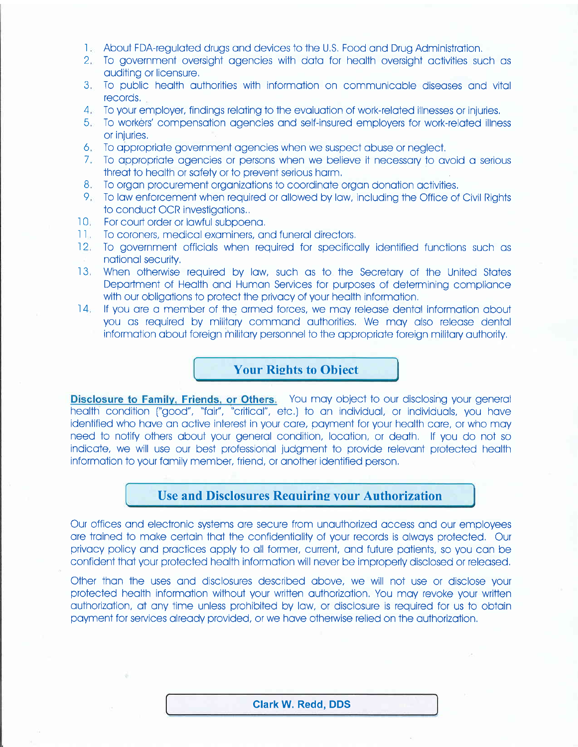- 1. About FDA-regulated drugs and devices to the U.S. Food and Drug Administration.
- 2. To government oversight agencies with data for health oversight activities such as auditing or licensure.
- 3. To public health authorities with information on communicable diseases and vital records.
- 4. To your employer, findings relating to the evaluation of work-related illnesses or injuries.
- 5. To workers' compensation agencies and self-insured employers for work-related illness or injuries.
- 6. To appropriate government agencies when we suspect abuse or neglect.
- 7. To appropriate agencies or persons when we believe it necessary to avoid a serious threat to health or safety or to prevent serious harm.
- 8. To organ procurement organizations to coordinate organ donation activities.
- 9. To law enforcement when required or allowed by law, including the Office of Civil Rights to conduct OCR investigations..
- 10. For court order or lawful subpoena.
- 11. To coroners, medical examiners, and funeral directors.
- 12. To government officials when required for specifically identified functions such as national security.
- 13. When otherwise required by law, such as to the Secretary of the United States Department of Health and Human Services for purposes of determining compliance with our obligations to protect the privacy of your health information.
- 14. If you are a member of the armed forces, we may release dental information about you as required by military command authorities. We may also release dental information about foreign military personnel to the appropriate foreign military authority.

#### **Your Rights to Object**

**Disclosure to Family, Friends, or Others.** You may object to our disclosing your general health condition ("aood", "fair", "critical", etc.) to an individual, or individuals, you have identified who have an active interest in your care, payment for your health care, or who may need to notify others about your general condition, location, or death. If you do not so indicate, we will use our best professional judament to provide relevant protected health information to your family member, friend, or another identified person.

## **Use and Disclosures Requiring your Authorization**

Our offices and electronic systems are secure from unauthorized access and our employees are trained to make certain that the confidentiality of your records is always protected. Our privacy policy and practices apply to all former, current, and future patients, so you can be confident that your protected health information will never be improperly disclosed or released.

Other than the uses and disclosures described above, we will not use or disclose your protected health information without your written authorization. You may revoke your written authorization, at any time unless prohibited by law, or disclosure is required for us to obtain payment for services already provided, or we have otherwise relied on the authorization.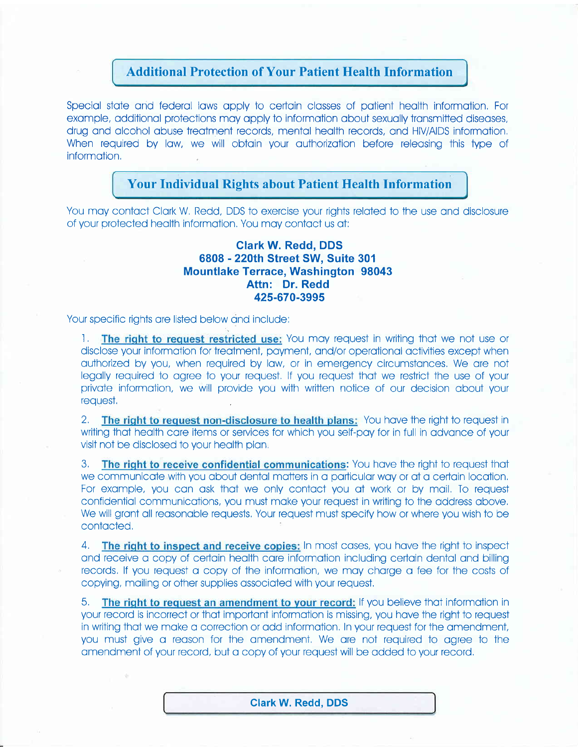## **Additional Protection of Your Patient Health Information**

Special state and federal laws apply to certain classes of patient health information. For example, additional protections may apply to information about sexually transmitted diseases, drug and alcohol abuse treatment records, mental health records, and HIV/AIDS information. When required by law, we will obtain your authorization before releasing this type of information.

## **Your Individual Rights about Patient Health Information**

You may contact Clark W. Redd, DDS to exercise your rights related to the use and disclosure of your protected health information. You may contact us at:

#### **Clark W. Redd. DDS** 6808 - 220th Street SW, Suite 301 **Mountlake Terrace, Washington 98043** Attn: Dr. Redd 425-670-3995

Your specific rights are listed below and include:

1. The right to request restricted use: You may request in writing that we not use or disclose your information for treatment, payment, and/or operational activities except when authorized by you, when required by law, or in emergency circumstances. We are not legally required to agree to your request. If you request that we restrict the use of your private information, we will provide you with written notice of our decision about your request.

The right to request non-disclosure to health plans: You have the right to request in  $2<sub>1</sub>$ writing that health care items or services for which you self-pay for in full in advance of your visit not be disclosed to your health plan.

The right to receive confidential communications: You have the right to request that  $3<sub>1</sub>$ we communicate with you about dental matters in a particular way or at a certain location. For example, you can ask that we only contact you at work or by mail. To request confidential communications, you must make your request in writing to the address above. We will grant all reasonable requests. Your request must specify how or where you wish to be contacted.

The right to inspect and receive copies: In most cases, you have the right to inspect  $\mathcal{A}_{\cdot}$ and receive a copy of certain health care information including certain dental and billing records. If you request a copy of the information, we may charge a fee for the costs of copying, mailing or other supplies associated with your request.

5. The right to request an amendment to your record: If you believe that information in your record is incorrect or that important information is missing, you have the right to request in writing that we make a correction or add information. In your request for the amendment, you must give a reason for the amendment. We are not required to garee to the amendment of your record, but a copy of your request will be added to your record.